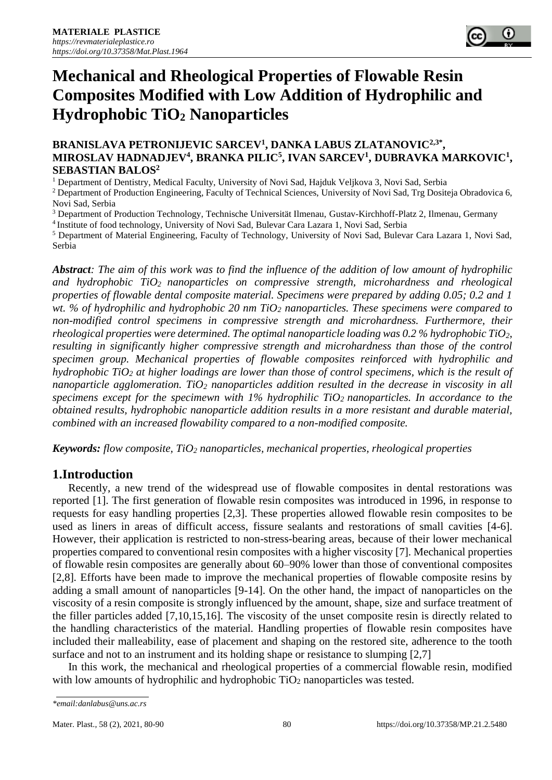

# **Mechanical and Rheological Properties of Flowable Resin Composites Modified with Low Addition of Hydrophilic and Hydrophobic TiO<sup>2</sup> Nanoparticles**

#### **BRANISLAVA PETRONIJEVIC SARCEV<sup>1</sup>, DANKA LABUS ZLATANOVIC<sup>2,3\*</sup>, MIROSLAV HADNADJEV<sup>4</sup> , BRANKA PILIC<sup>5</sup> , IVAN SARCEV<sup>1</sup> , DUBRAVKA MARKOVIC<sup>1</sup> , SEBASTIAN BALOS<sup>2</sup>**

<sup>1</sup> Department of Dentistry, Medical Faculty, University of Novi Sad, Hajduk Veljkova 3, Novi Sad, Serbia

<sup>2</sup> Department of Production Engineering, Faculty of Technical Sciences, University of Novi Sad, Trg Dositeja Obradovica 6, Novi Sad, Serbia

<sup>3</sup> Department of Production Technology, Technische Universität Ilmenau, Gustav-Kirchhoff-Platz 2, Ilmenau, Germany

<sup>4</sup>Institute of food technology, University of Novi Sad, Bulevar Cara Lazara 1, Novi Sad, Serbia

<sup>5</sup> Department of Material Engineering, Faculty of Technology, University of Novi Sad, Bulevar Cara Lazara 1, Novi Sad, Serbia

*Abstract: The aim of this work was to find the influence of the addition of low amount of hydrophilic and hydrophobic TiO<sup>2</sup> nanoparticles on compressive strength, microhardness and rheological properties of flowable dental composite material. Specimens were prepared by adding 0.05; 0.2 and 1 wt. % of hydrophilic and hydrophobic 20 nm TiO<sup>2</sup> nanoparticles. These specimens were compared to non-modified control specimens in compressive strength and microhardness. Furthermore, their rheological properties were determined. The optimal nanoparticle loading was 0.2 % hydrophobic TiO2, resulting in significantly higher compressive strength and microhardness than those of the control specimen group. Mechanical properties of flowable composites reinforced with hydrophilic and hydrophobic TiO<sup>2</sup> at higher loadings are lower than those of control specimens, which is the result of nanoparticle agglomeration. TiO<sup>2</sup> nanoparticles addition resulted in the decrease in viscosity in all specimens except for the specimewn with 1% hydrophilic TiO2 nanoparticles. In accordance to the obtained results, hydrophobic nanoparticle addition results in a more resistant and durable material, combined with an increased flowability compared to a non-modified composite.*

*Keywords: flow composite, TiO<sup>2</sup> nanoparticles, mechanical properties, rheological properties*

### **1.Introduction**

Recently, a new trend of the widespread use of flowable composites in dental restorations was reported [1]. The first generation of flowable resin composites was introduced in 1996, in response to requests for easy handling properties [2,3]. These properties allowed flowable resin composites to be used as liners in areas of difficult access, fissure sealants and restorations of small cavities [4-6]. However, their application is restricted to non-stress-bearing areas, because of their lower mechanical properties compared to conventional resin composites with a higher viscosity [7]. Mechanical properties of flowable resin composites are generally about 60–90% lower than those of conventional composites [2,8]. Efforts have been made to improve the mechanical properties of flowable composite resins by adding a small amount of nanoparticles [9-14]. On the other hand, the impact of nanoparticles on the viscosity of a resin composite is strongly influenced by the amount, shape, size and surface treatment of the filler particles added [7,10,15,16]. The viscosity of the unset composite resin is directly related to the handling characteristics of the material. Handling properties of flowable resin composites have included their malleability, ease of placement and shaping on the restored site, adherence to the tooth surface and not to an instrument and its holding shape or resistance to slumping [2,7]

In this work, the mechanical and rheological properties of a commercial flowable resin, modified with low amounts of hydrophilic and hydrophobic TiO<sub>2</sub> nanoparticles was tested.

*<sup>\*</sup>email:danlabus@uns.ac.rs*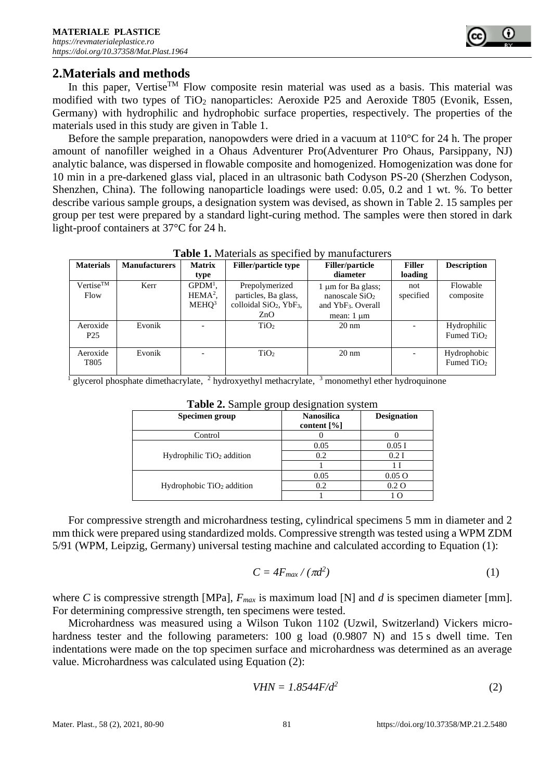

## **2.Materials and methods**

In this paper, Vertise<sup>TM</sup> Flow composite resin material was used as a basis. This material was modified with two types of TiO<sub>2</sub> nanoparticles: Aeroxide P25 and Aeroxide T805 (Evonik, Essen, Germany) with hydrophilic and hydrophobic surface properties, respectively. The properties of the materials used in this study are given in Table 1.

Before the sample preparation, nanopowders were dried in a vacuum at 110°C for 24 h. The proper amount of nanofiller weighed in a Ohaus Adventurer Pro(Adventurer Pro Ohaus, Parsippany, NJ) analytic balance, was dispersed in flowable composite and homogenized. Homogenization was done for 10 min in a pre-darkened glass vial, placed in an ultrasonic bath Codyson PS-20 (Sherzhen Codyson, Shenzhen, China). The following nanoparticle loadings were used: 0.05, 0.2 and 1 wt. %. To better describe various sample groups, a designation system was devised, as shown in Table 2. 15 samples per group per test were prepared by a standard light-curing method. The samples were then stored in dark light-proof containers at 37°C for 24 h.

|                                       | diameter                       | loading                  |                             |
|---------------------------------------|--------------------------------|--------------------------|-----------------------------|
|                                       |                                |                          |                             |
| Prepolymerized                        | $1 \mu m$ for Ba glass;        | not                      | Flowable                    |
| particles, Ba glass,                  | nanoscale $SiO2$               | specified                | composite                   |
| colloidal $SiO2$ , YbF <sub>3</sub> , | and YbF <sub>3</sub> . Overall |                          |                             |
| ZnO                                   | mean: $1 \mu m$                |                          |                             |
| TiO <sub>2</sub>                      | $20 \text{ nm}$                | $\overline{\phantom{a}}$ | Hydrophilic                 |
|                                       |                                |                          | Fumed $TiO2$                |
| TiO <sub>2</sub>                      | $20 \text{ nm}$                |                          | Hydrophobic<br>Fumed $TiO2$ |
|                                       |                                |                          |                             |

**Table 1.** Materials as specified by manufacturers

<sup>1</sup> glycerol phosphate dimethacrylate, <sup>2</sup> hydroxyethyl methacrylate, <sup>3</sup> monomethyl ether hydroquinone

| Specimen group              | <b>Nanosilica</b><br>content $[\%]$ | <b>Designation</b> |
|-----------------------------|-------------------------------------|--------------------|
| Control                     |                                     |                    |
| Hydrophilic $TiO2$ addition | 0.05                                | 0.05I              |
|                             | 0.2                                 | $0.2$ I            |
|                             |                                     | 1 I                |
| Hydrophobic $TiO2$ addition | 0.05                                | 0.05 <sub>O</sub>  |
|                             | 0.2                                 | $0.2\Omega$        |
|                             |                                     | $\Omega$           |

**Table 2.** Sample group designation system

For compressive strength and microhardness testing, cylindrical specimens 5 mm in diameter and 2 mm thick were prepared using standardized molds. Compressive strength was tested using a WPM ZDM 5/91 (WPM, Leipzig, Germany) universal testing machine and calculated according to Equation (1):

$$
C = 4F_{max}/(\pi d^2)
$$
 (1)

where *C* is compressive strength [MPa],  $F_{max}$  is maximum load [N] and *d* is specimen diameter [mm]. For determining compressive strength, ten specimens were tested.

Microhardness was measured using a Wilson Tukon 1102 (Uzwil, Switzerland) Vickers microhardness tester and the following parameters: 100 g load (0.9807 N) and 15 s dwell time. Ten indentations were made on the top specimen surface and microhardness was determined as an average value. Microhardness was calculated using Equation (2):

$$
VHN = 1.8544F/d^2 \tag{2}
$$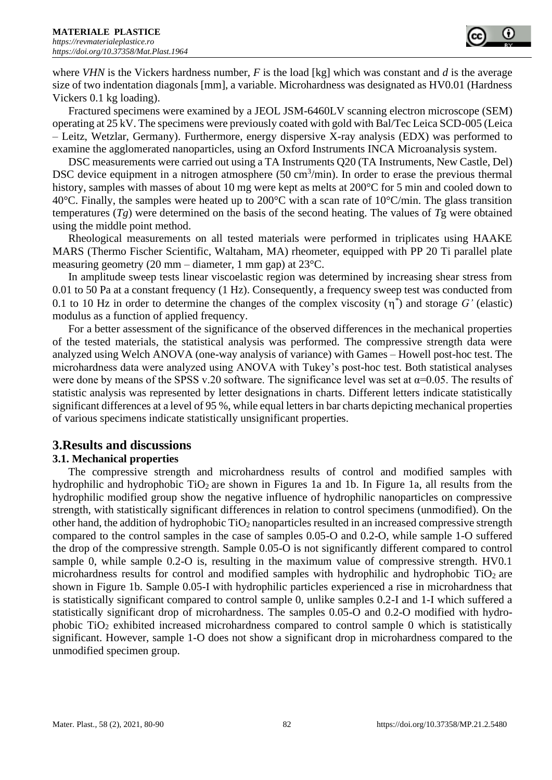

where *VHN* is the Vickers hardness number, *F* is the load [kg] which was constant and *d* is the average size of two indentation diagonals [mm], a variable. Microhardness was designated as HV0.01 (Hardness Vickers 0.1 kg loading).

Fractured specimens were examined by a JEOL JSM-6460LV scanning electron microscope (SEM) operating at 25 kV. The specimens were previously coated with gold with Bal/Tec Leica SCD-005 (Leica – Leitz, Wetzlar, Germany). Furthermore, energy dispersive X-ray analysis (EDX) was performed to examine the agglomerated nanoparticles, using an Oxford Instruments INCA Microanalysis system.

DSC measurements were carried out using a TA Instruments Q20 (TA Instruments, New Castle, Del) DSC device equipment in a nitrogen atmosphere  $(50 \text{ cm}^3/\text{min})$ . In order to erase the previous thermal history, samples with masses of about 10 mg were kept as melts at 200°C for 5 min and cooled down to 40°C. Finally, the samples were heated up to 200°C with a scan rate of  $10^{\circ}$ C/min. The glass transition temperatures (*Tg*) were determined on the basis of the second heating. The values of *T*g were obtained using the middle point method.

Rheological measurements on all tested materials were performed in triplicates using HAAKE MARS (Thermo Fischer Scientific, Waltaham, MA) rheometer, equipped with PP 20 Ti parallel plate measuring geometry (20 mm – diameter, 1 mm gap) at 23°C.

In amplitude sweep tests linear viscoelastic region was determined by increasing shear stress from 0.01 to 50 Pa at a constant frequency (1 Hz). Consequently, a frequency sweep test was conducted from 0.1 to 10 Hz in order to determine the changes of the complex viscosity  $(\eta^*)$  and storage  $G'$  (elastic) modulus as a function of applied frequency.

For a better assessment of the significance of the observed differences in the mechanical properties of the tested materials, the statistical analysis was performed. The compressive strength data were analyzed using Welch ANOVA (one-way analysis of variance) with Games – Howell post-hoc test. The microhardness data were analyzed using ANOVA with Tukey's post-hoc test. Both statistical analyses were done by means of the SPSS v.20 software. The significance level was set at  $\alpha$ =0.05. The results of statistic analysis was represented by letter designations in charts. Different letters indicate statistically significant differences at a level of 95 %, while equal letters in bar charts depicting mechanical properties of various specimens indicate statistically unsignificant properties.

### **3.Results and discussions**

#### **3.1. Mechanical properties**

The compressive strength and microhardness results of control and modified samples with hydrophilic and hydrophobic  $TiO<sub>2</sub>$  are shown in Figures 1a and 1b. In Figure 1a, all results from the hydrophilic modified group show the negative influence of hydrophilic nanoparticles on compressive strength, with statistically significant differences in relation to control specimens (unmodified). On the other hand, the addition of hydrophobic  $TiO<sub>2</sub>$  nanoparticles resulted in an increased compressive strength compared to the control samples in the case of samples 0.05-O and 0.2-O, while sample 1-O suffered the drop of the compressive strength. Sample 0.05-O is not significantly different compared to control sample 0, while sample 0.2-O is, resulting in the maximum value of compressive strength. HV0.1 microhardness results for control and modified samples with hydrophilic and hydrophobic  $TiO<sub>2</sub>$  are shown in Figure 1b. Sample 0.05-I with hydrophilic particles experienced a rise in microhardness that is statistically significant compared to control sample 0, unlike samples 0.2-I and 1-I which suffered a statistically significant drop of microhardness. The samples 0.05-O and 0.2-O modified with hydrophobic TiO<sup>2</sup> exhibited increased microhardness compared to control sample 0 which is statistically significant. However, sample 1-O does not show a significant drop in microhardness compared to the unmodified specimen group.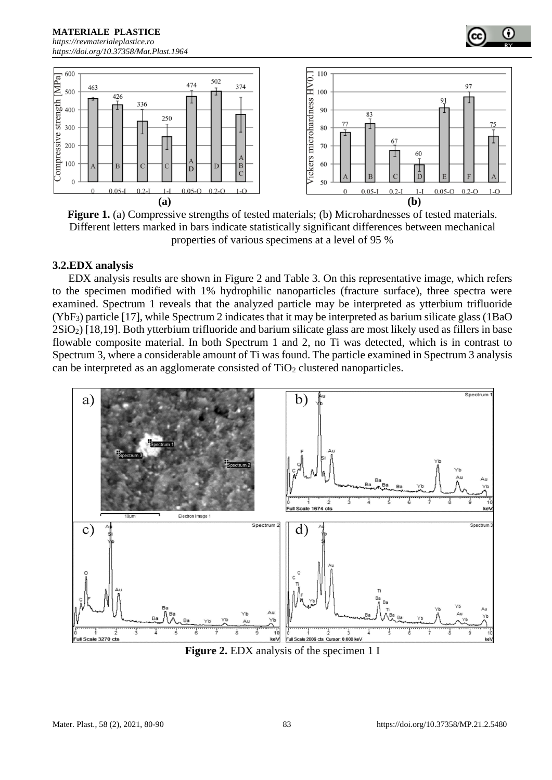**MATERIALE PLASTICE**  *[https://revmaterialeplastice.ro](https://revmaterialeplastice.ro/) https://doi.org/10.37358/Mat.Plast.1964*



**Figure 1.** (a) Compressive strengths of tested materials; (b) Microhardnesses of tested materials. Different letters marked in bars indicate statistically significant differences between mechanical properties of various specimens at a level of 95 %

#### **3.2.EDX analysis**

EDX analysis results are shown in Figure 2 and Table 3. On this representative image, which refers to the specimen modified with 1% hydrophilic nanoparticles (fracture surface), three spectra were examined. Spectrum 1 reveals that the analyzed particle may be interpreted as ytterbium trifluoride (YbF3) particle [17], while Spectrum 2 indicates that it may be interpreted as barium silicate glass (1BaO 2SiO2) [18,19]. Both ytterbium trifluoride and barium silicate glass are most likely used as fillers in base flowable composite material. In both Spectrum 1 and 2, no Ti was detected, which is in contrast to Spectrum 3, where a considerable amount of Ti was found. The particle examined in Spectrum 3 analysis can be interpreted as an agglomerate consisted of  $TiO<sub>2</sub>$  clustered nanoparticles.



**Figure 2.** EDX analysis of the specimen 1 I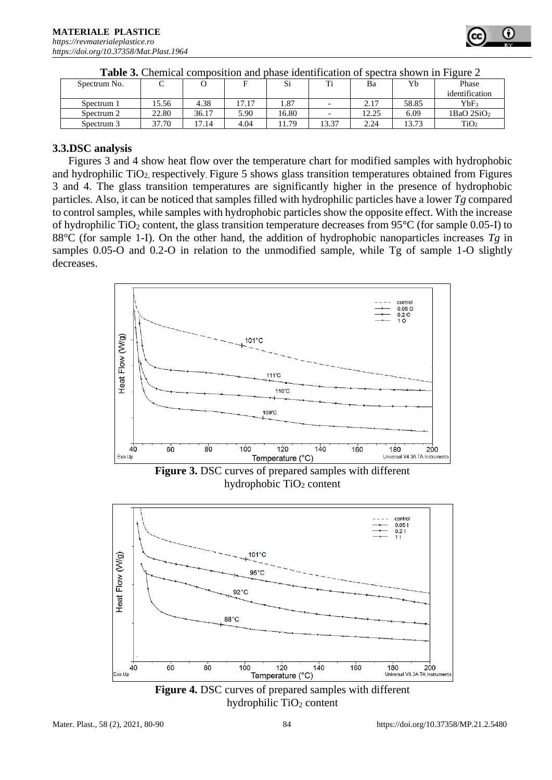| <b>Table 3.</b> Chemical composition and phase identification of spectra shown in Figure 2 |  |  |  |  |  |  |  |
|--------------------------------------------------------------------------------------------|--|--|--|--|--|--|--|
|--------------------------------------------------------------------------------------------|--|--|--|--|--|--|--|

#### **3.3.DSC analysis**

Figures 3 and 4 show heat flow over the temperature chart for modified samples with hydrophobic and hydrophilic  $TiO<sub>2</sub>$  respectively. Figure 5 shows glass transition temperatures obtained from Figures 3 and 4. The glass transition temperatures are significantly higher in the presence of hydrophobic particles. Also, it can be noticed that samples filled with hydrophilic particles have a lower *Tg* compared to control samples, while samples with hydrophobic particles show the opposite effect. With the increase of hydrophilic TiO<sub>2</sub> content, the glass transition temperature decreases from 95 $\degree$ C (for sample 0.05-I) to 88°C (for sample 1-I). On the other hand, the addition of hydrophobic nanoparticles increases *Tg* in samples 0.05-O and 0.2-O in relation to the unmodified sample, while Tg of sample 1-O slightly decreases.



**Figure 3.** DSC curves of prepared samples with different hydrophobic  $TiO<sub>2</sub>$  content



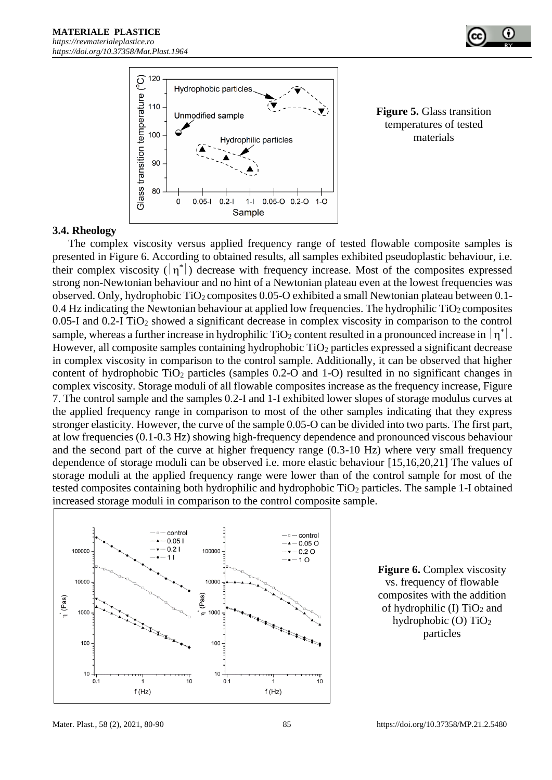

**Figure 5.** Glass transition temperatures of tested materials

#### **3.4. Rheology**

The complex viscosity versus applied frequency range of tested flowable composite samples is presented in Figure 6. According to obtained results, all samples exhibited pseudoplastic behaviour, i.e. their complex viscosity  $(|\eta^*|)$  decrease with frequency increase. Most of the composites expressed strong non-Newtonian behaviour and no hint of a Newtonian plateau even at the lowest frequencies was observed. Only, hydrophobic TiO2 composites 0.05-O exhibited a small Newtonian plateau between 0.1- 0.4 Hz indicating the Newtonian behaviour at applied low frequencies. The hydrophilic  $TiO<sub>2</sub>$  composites 0.05-I and 0.2-I TiO<sup>2</sup> showed a significant decrease in complex viscosity in comparison to the control sample, whereas a further increase in hydrophilic TiO<sub>2</sub> content resulted in a pronounced increase in  $|\eta^*|$ . However, all composite samples containing hydrophobic  $TiO<sub>2</sub>$  particles expressed a significant decrease in complex viscosity in comparison to the control sample. Additionally, it can be observed that higher content of hydrophobic  $TiO<sub>2</sub>$  particles (samples 0.2-O and 1-O) resulted in no significant changes in complex viscosity. Storage moduli of all flowable composites increase as the frequency increase, Figure 7. The control sample and the samples 0.2-I and 1-I exhibited lower slopes of storage modulus curves at the applied frequency range in comparison to most of the other samples indicating that they express stronger elasticity. However, the curve of the sample 0.05-O can be divided into two parts. The first part, at low frequencies (0.1-0.3 Hz) showing high-frequency dependence and pronounced viscous behaviour and the second part of the curve at higher frequency range (0.3-10 Hz) where very small frequency dependence of storage moduli can be observed i.e. more elastic behaviour [15,16,20,21] The values of storage moduli at the applied frequency range were lower than of the control sample for most of the tested composites containing both hydrophilic and hydrophobic TiO<sub>2</sub> particles. The sample 1-I obtained increased storage moduli in comparison to the control composite sample.



**Figure 6.** Complex viscosity vs. frequency of flowable composites with the addition of hydrophilic (I)  $TiO<sub>2</sub>$  and hydrophobic (O) TiO<sup>2</sup> particles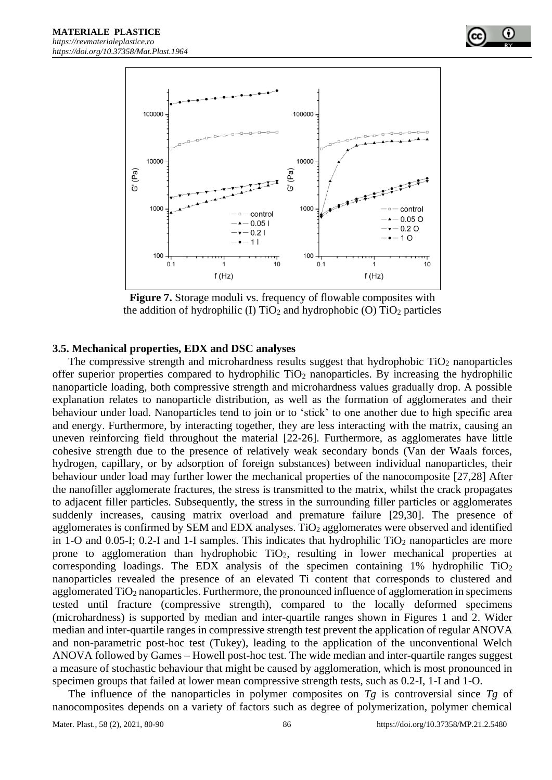

**Figure 7.** Storage moduli vs. frequency of flowable composites with the addition of hydrophilic (I)  $TiO<sub>2</sub>$  and hydrophobic (O)  $TiO<sub>2</sub>$  particles

#### **3.5. Mechanical properties, EDX and DSC analyses**

The compressive strength and microhardness results suggest that hydrophobic  $TiO<sub>2</sub>$  nanoparticles offer superior properties compared to hydrophilic  $TiO<sub>2</sub>$  nanoparticles. By increasing the hydrophilic nanoparticle loading, both compressive strength and microhardness values gradually drop. A possible explanation relates to nanoparticle distribution, as well as the formation of agglomerates and their behaviour under load. Nanoparticles tend to join or to 'stick' to one another due to high specific area and energy. Furthermore, by interacting together, they are less interacting with the matrix, causing an uneven reinforcing field throughout the material [22-26]. Furthermore, as agglomerates have little cohesive strength due to the presence of relatively weak secondary bonds (Van der Waals forces, hydrogen, capillary, or by adsorption of foreign substances) between individual nanoparticles, their behaviour under load may further lower the mechanical properties of the nanocomposite [27,28] After the nanofiller agglomerate fractures, the stress is transmitted to the matrix, whilst the crack propagates to adjacent filler particles. Subsequently, the stress in the surrounding filler particles or agglomerates suddenly increases, causing matrix overload and premature failure [29,30]. The presence of agglomerates is confirmed by SEM and EDX analyses.  $TiO<sub>2</sub>$  agglomerates were observed and identified in 1-O and 0.05-I; 0.2-I and 1-I samples. This indicates that hydrophilic  $TiO<sub>2</sub>$  nanoparticles are more prone to agglomeration than hydrophobic  $TiO<sub>2</sub>$ , resulting in lower mechanical properties at corresponding loadings. The EDX analysis of the specimen containing  $1\%$  hydrophilic TiO<sub>2</sub> nanoparticles revealed the presence of an elevated Ti content that corresponds to clustered and agglomerated TiO<sub>2</sub> nanoparticles. Furthermore, the pronounced influence of agglomeration in specimens tested until fracture (compressive strength), compared to the locally deformed specimens (microhardness) is supported by median and inter-quartile ranges shown in Figures 1 and 2. Wider median and inter-quartile ranges in compressive strength test prevent the application of regular ANOVA and non-parametric post-hoc test (Tukey), leading to the application of the unconventional Welch ANOVA followed by Games – Howell post-hoc test. The wide median and inter-quartile ranges suggest a measure of stochastic behaviour that might be caused by agglomeration, which is most pronounced in specimen groups that failed at lower mean compressive strength tests, such as 0.2-I, 1-I and 1-O.

The influence of the nanoparticles in polymer composites on *Tg* is controversial since *Tg* of nanocomposites depends on a variety of factors such as degree of polymerization, polymer chemical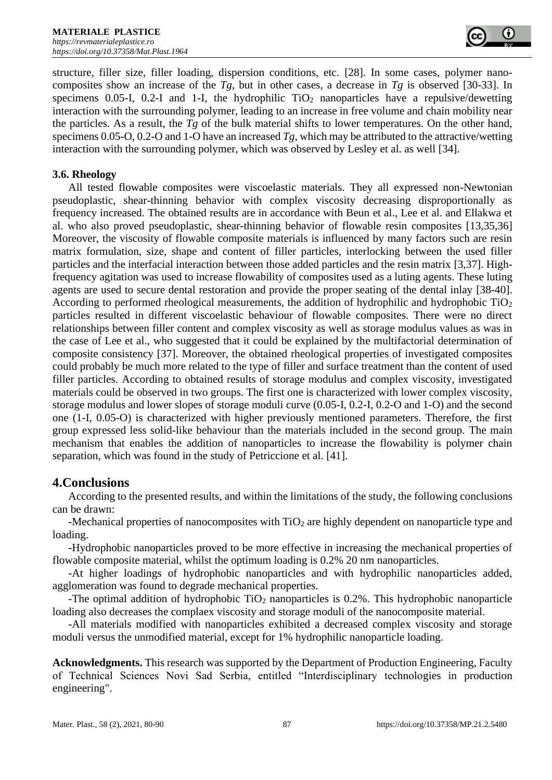structure, filler size, filler loading, dispersion conditions, etc. [28]. In some cases, polymer nanocomposites show an increase of the  $Tg$ , but in other cases, a decrease in  $Tg$  is observed [30-33]. In specimens 0.05-I, 0.2-I and 1-I, the hydrophilic  $TiO<sub>2</sub>$  nanoparticles have a repulsive/dewetting interaction with the surrounding polymer, leading to an increase in free volume and chain mobility near the particles. As a result, the *Tg* of the bulk material shifts to lower temperatures. On the other hand, specimens 0.05-O, 0.2-O and 1-O have an increased *Tg*, which may be attributed to the attractive/wetting interaction with the surrounding polymer, which was observed by Lesley et al. as well [34].

#### **3.6. Rheology**

All tested flowable composites were viscoelastic materials. They all expressed non-Newtonian pseudoplastic, shear-thinning behavior with complex viscosity decreasing disproportionally as frequency increased. The obtained results are in accordance with Beun et al., Lee et al. and Ellakwa et al. who also proved pseudoplastic, shear-thinning behavior of flowable resin composites [13,35,36] Moreover, the viscosity of flowable composite materials is influenced by many factors such are resin matrix formulation, size, shape and content of filler particles, interlocking between the used filler particles and the interfacial interaction between those added particles and the resin matrix [3,37]. Highfrequency agitation was used to increase flowability of composites used as a luting agents. These luting agents are used to secure dental restoration and provide the proper seating of the dental inlay [38-40]. According to performed rheological measurements, the addition of hydrophilic and hydrophobic TiO<sub>2</sub> particles resulted in different viscoelastic behaviour of flowable composites. There were no direct relationships between filler content and complex viscosity as well as storage modulus values as was in the case of Lee et al., who suggested that it could be explained by the multifactorial determination of composite consistency [37]. Moreover, the obtained rheological properties of investigated composites could probably be much more related to the type of filler and surface treatment than the content of used filler particles. According to obtained results of storage modulus and complex viscosity, investigated materials could be observed in two groups. The first one is characterized with lower complex viscosity, storage modulus and lower slopes of storage moduli curve (0.05-I, 0.2-I, 0.2-O and 1-O) and the second one (1-I, 0.05-O) is characterized with higher previously mentioned parameters. Therefore, the first group expressed less solid-like behaviour than the materials included in the second group. The main mechanism that enables the addition of nanoparticles to increase the flowability is polymer chain separation, which was found in the study of Petriccione et al. [41].

# **4.Conclusions**

According to the presented results, and within the limitations of the study, the following conclusions can be drawn:

-Mechanical properties of nanocomposites with  $TiO<sub>2</sub>$  are highly dependent on nanoparticle type and loading.

-Hydrophobic nanoparticles proved to be more effective in increasing the mechanical properties of flowable composite material, whilst the optimum loading is 0.2% 20 nm nanoparticles.

-At higher loadings of hydrophobic nanoparticles and with hydrophilic nanoparticles added, agglomeration was found to degrade mechanical properties.

-The optimal addition of hydrophobic  $TiO<sub>2</sub>$  nanoparticles is 0.2%. This hydrophobic nanoparticle loading also decreases the complaex viscosity and storage moduli of the nanocomposite material.

-All materials modified with nanoparticles exhibited a decreased complex viscosity and storage moduli versus the unmodified material, except for 1% hydrophilic nanoparticle loading.

**Acknowledgments.** This research was supported by the Department of Production Engineering, Faculty of Technical Sciences Novi Sad Serbia, entitled "Interdisciplinary technologies in production engineering".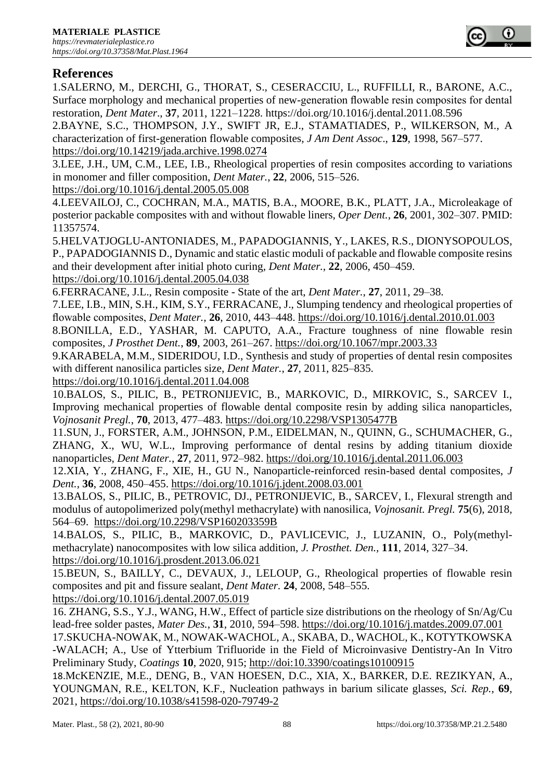# **References**

1.SALERNO, M., DERCHI, G., THORAT, S., CESERACCIU, L., RUFFILLI, R., BARONE, A.C., Surface morphology and mechanical properties of new-generation flowable resin composites for dental restoration, *Dent Mater*., **37**, 2011, 1221–1228. <https://doi.org/10.1016/j.dental.2011.08.596>

2.BAYNE, S.C., THOMPSON, J.Y., SWIFT JR, E.J., STAMATIADES, P., WILKERSON, M., A characterization of first-generation flowable composites, *J Am Dent Assoc*., **129**, 1998, 567–577. <https://doi.org/10.14219/jada.archive.1998.0274>

3.LEE, J.H., UM, C.M., LEE, I.B., Rheological properties of resin composites according to variations in monomer and filler composition, *Dent Mater.*, **22**, 2006, 515–526.

<https://doi.org/10.1016/j.dental.2005.05.008>

4.LEEVAILOJ, C., COCHRAN, M.A., MATIS, B.A., MOORE, B.K., PLATT, J.A., Microleakage of posterior packable composites with and without flowable liners, *Oper Dent.*, **26**, 2001, 302–307. PMID: 11357574.

5.HELVATJOGLU-ANTONIADES, M., PAPADOGIANNIS, Y., LAKES, R.S., DIONYSOPOULOS, P., PAPADOGIANNIS D., Dynamic and static elastic moduli of packable and flowable composite resins and their development after initial photo curing, *Dent Mater.*, **22**, 2006, 450–459. <https://doi.org/10.1016/j.dental.2005.04.038>

6.FERRACANE, J.L., Resin composite - State of the art, *Dent Mater.*, **27**, 2011, 29–38.

7.LEE, I.B., MIN, S.H., KIM, S.Y., FERRACANE, J., Slumping tendency and rheological properties of flowable composites, *Dent Mater.*, **26**, 2010, 443–448.<https://doi.org/10.1016/j.dental.2010.01.003>

8.BONILLA, E.D., YASHAR, M. CAPUTO, A.A., Fracture toughness of nine flowable resin composites, *J Prosthet Dent.*, **89**, 2003, 261–267.<https://doi.org/10.1067/mpr.2003.33>

9.KARABELA, M.M., SIDERIDOU, I.D., Synthesis and study of properties of dental resin composites with different nanosilica particles size, *Dent Mater.*, **27**, 2011, 825–835.

<https://doi.org/10.1016/j.dental.2011.04.008>

10.BALOS, S., PILIC, B., PETRONIJEVIC, B., MARKOVIC, D., MIRKOVIC, S., SARCEV I., Improving mechanical properties of flowable dental composite resin by adding silica nanoparticles, *Vojnosanit Pregl.*, **70**, 2013, 477–483.<https://doi.org/10.2298/VSP1305477B>

11.SUN, J., FORSTER, A.M., JOHNSON, P.M., EIDELMAN, N., QUINN, G., SCHUMACHER, G., ZHANG, X., WU, W.L., Improving performance of dental resins by adding titanium dioxide nanoparticles, *Dent Mater.,* **27**, 2011, 972–982.<https://doi.org/10.1016/j.dental.2011.06.003>

12.XIA, Y., ZHANG, F., XIE, H., GU N., Nanoparticle-reinforced resin-based dental composites, *J Dent.*, **36**, 2008, 450–455.<https://doi.org/10.1016/j.jdent.2008.03.001>

13.BALOS, S., PILIC, B., PETROVIC, DJ., PETRONIJEVIC, B., SARCEV, I., Flexural strength and modulus of autopolimerized poly(methyl methacrylate) with nanosilica, *Vojnosanit. Pregl.* **75**(6), 2018, 564–69. <https://doi.org/10.2298/VSP160203359B>

14.BALOS, S., PILIC, B., MARKOVIC, D., PAVLICEVIC, J., LUZANIN, O., Poly(methylmethacrylate) nanocomposites with low silica addition, *J. Prosthet. Den.,* **111**, 2014, 327–34. <https://doi.org/10.1016/j.prosdent.2013.06.021>

15.BEUN, S., BAILLY, C., DEVAUX, J., LELOUP, G., Rheological properties of flowable resin composites and pit and fissure sealant, *Dent Mater.* **24**, 2008, 548–555.

<https://doi.org/10.1016/j.dental.2007.05.019>

16. [ZHANG,](http://www.sciencedirect.com/science/article/pii/S0261306909003422) S.S., Y.J., [WANG,](http://www.sciencedirect.com/science/article/pii/S0261306909003422) H.W., Effect of particle size distributions on the rheology of Sn/Ag/Cu lead-free solder pastes, *Mater Des.*, **31**, 2010, 594–598.<https://doi.org/10.1016/j.matdes.2009.07.001>

17.SKUCHA-NOWAK, M., NOWAK-WACHOL, A., SKABA, D., WACHOL, K., KOTYTKOWSKA -WALACH; A., Use of Ytterbium Trifluoride in the Field of Microinvasive Dentistry-An In Vitro Preliminary Study, *Coatings* **10**, 2020, 915; <http://doi:10.3390/coatings10100915>

18.[McKENZIE,](https://www.nature.com/articles/s41598-020-79749-2#auth-Matthew_E_-McKenzie) M.E., [DE](https://www.nature.com/articles/s41598-020-79749-2#auth-Binghui-Deng)NG, B., [VAN HOESEN,](https://www.nature.com/articles/s41598-020-79749-2#auth-D__C_-Hoesen) D.C., [XI](https://www.nature.com/articles/s41598-020-79749-2#auth-Xinsheng-Xia)A, X., [BA](https://www.nature.com/articles/s41598-020-79749-2#auth-David_E_-Baker)RKER, D.E. [REZIKYAN,](https://www.nature.com/articles/s41598-020-79749-2#auth-Aram-Rezikyan) A., [YOUNGMAN,](https://www.nature.com/articles/s41598-020-79749-2#auth-Randall_E_-Youngman) R.E., [KELTON,](https://www.nature.com/articles/s41598-020-79749-2#auth-K__F_-Kelton) K.F., Nucleation pathways in barium silicate glasses, *Sci. Rep.*, **69**, 2021,<https://doi.org/10.1038/s41598-020-79749-2>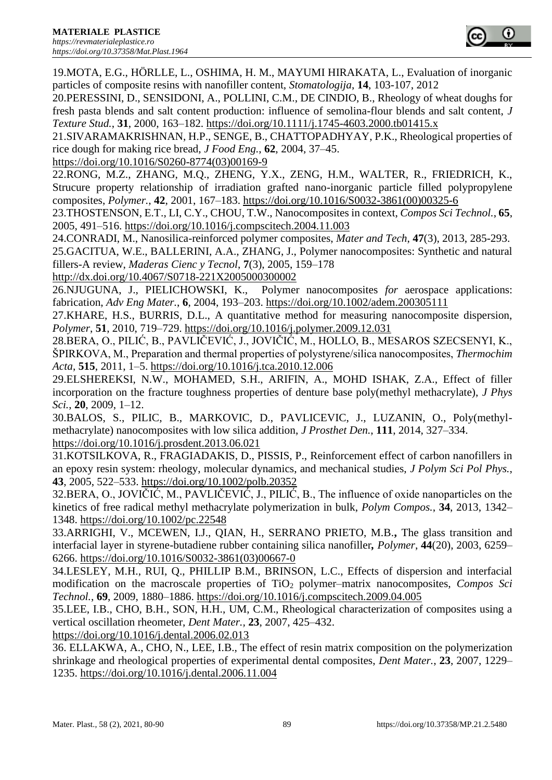19.MOTA, E.G., HÖRLLE, L., OSHIMA, H. M., MAYUMI HIRAKATA, L., Evaluation of inorganic particles of composite resins with nanofiller content, *Stomatologija*, **14**, 103-107, 2012

20.PERESSINI, D., SENSIDONI, A., POLLINI, C.M., DE CINDIO, B., Rheology of wheat doughs for fresh pasta blends and salt content production: influence of semolina-flour blends and salt content, *J Texture Stud.*, **31**, 2000, 163–182.<https://doi.org/10.1111/j.1745-4603.2000.tb01415.x>

21.SIVARAMAKRISHNAN, H.P., SENGE, B., CHATTOPADHYAY, P.K., Rheological properties of rice dough for making rice bread, *J Food Eng.*, **62**, 2004, 37–45.

[https://doi.org/10.1016/S0260-8774\(03\)00169-9](https://doi.org/10.1016/S0260-8774(03)00169-9)

22.RONG, M.Z., ZHANG, M.Q., ZHENG, Y.X., ZENG, H.M., WALTER, R., FRIEDRICH, K., Strucure property relationship of irradiation grafted nano-inorganic particle filled polypropylene composites, *Polymer.*, **42**, 2001, 167–183. [https://doi.org/10.1016/S0032-3861\(00\)00325-6](https://doi.org/10.1016/S0032-3861(00)00325-6)

23.THOSTENSON, E.T., LI, C.Y., CHOU, T.W., Nanocomposites in context, *Compos Sci Technol.*, **65**, 2005, 491–516.<https://doi.org/10.1016/j.compscitech.2004.11.003>

24.CONRADI, M., Nanosilica-reinforced polymer composites, *Mater and Tech*, **47**(3), 2013, 285-293. 25.GACITUA, W.E., BALLERINI, A.A., ZHANG, J., Polymer nanocomposites: Synthetic and natural fillers-A review, *Maderas Cienc y Tecnol*, **7**(3), 2005, 159–178

<http://dx.doi.org/10.4067/S0718-221X2005000300002>

26.NJUGUNA, J., PIELICHOWSKI, K., Polymer nanocomposites *for* aerospace applications: fabrication, *Adv Eng Mater.*, **6**, 2004, 193–203. <https://doi.org/10.1002/adem.200305111>

27.KHARE, H.S., BURRIS, D.L., A quantitative method for measuring nanocomposite dispersion, *Polymer*, **51**, 2010, 719–729.<https://doi.org/10.1016/j.polymer.2009.12.031>

28.BERA, O., PILIĆ, B., PAVLIČEVIĆ, J., JOVIČIĆ, M., HOLLO, B., MESAROS SZECSENYI, K., ŠPIRKOVA, M., Preparation and thermal properties of polystyrene/silica nanocomposites, *Thermochim Acta*, **515**, 2011, 1–5.<https://doi.org/10.1016/j.tca.2010.12.006>

29.ELSHEREKSI, N.W., MOHAMED, S.H., ARIFIN, A., MOHD ISHAK, Z.A., Effect of filler incorporation on the fracture toughness properties of denture base poly(methyl methacrylate), *J Phys Sci.*, **20**, 2009, 1–12.

30.BALOS, S., PILIC, B., MARKOVIC, D., PAVLICEVIC, J., LUZANIN, O., Poly(methylmethacrylate) nanocomposites with low silica addition, *J Prosthet Den.*, **111**, 2014, 327–334. <https://doi.org/10.1016/j.prosdent.2013.06.021>

31.KOTSILKOVA, R., FRAGIADAKIS, D., PISSIS, P., Reinforcement effect of carbon nanofillers in an epoxy resin system: rheology, molecular dynamics, and mechanical studies, *J Polym Sci Pol Phys.*, **43**, 2005, 522–533.<https://doi.org/10.1002/polb.20352>

32.BERA, O., JOVIČIĆ, M., PAVLIČEVIĆ, J., PILIĆ, B., The influence of oxide nanoparticles on the kinetics of free radical methyl methacrylate polymerization in bulk, *Polym Compos.*, **34**, 2013, 1342– 1348.<https://doi.org/10.1002/pc.22548>

33.ARRIGHI, V., MCEWEN, I.J., QIAN, H., SERRANO PRIETO, M.B.**[,](http://pureapps2.hw.ac.uk/portal/en/publications/the-glass-transition-and-interfacial-layer-in-styrenebutadiene-rubber-containing-silica-nanofiller(8fb4b23b-0df5-41b1-95b2-ed4d96b2cb34).html)** The glass transition and interfacial layer in styrene-butadiene rubber containing silica nanofiller*, Polymer*, **44**(20), 2003, 6259– 6266. [https://doi.org/10.1016/S0032-3861\(03\)00667-0](https://doi.org/10.1016/S0032-3861(03)00667-0)

34.LESLEY, M.H., RUI, Q., PHILLIP B.M., BRINSON, L.C., Effects of dispersion and interfacial modification on the macroscale properties of TiO<sub>2</sub> polymer–matrix nanocomposites, *Compos Sci Technol.*, **69**, 2009, 1880–1886.<https://doi.org/10.1016/j.compscitech.2009.04.005>

35.LEE, I.B., CHO, B.H., SON, H.H., UM, C.M., Rheological characterization of composites using a vertical oscillation rheometer, *Dent Mater.,* **23**, 2007, 425–432.

<https://doi.org/10.1016/j.dental.2006.02.013>

36. ELLAKWA, A., CHO, N., LEE, I.B., The effect of resin matrix composition on the polymerization shrinkage and rheological properties of experimental dental composites, *Dent Mater.*, **23**, 2007, 1229– 1235.<https://doi.org/10.1016/j.dental.2006.11.004>